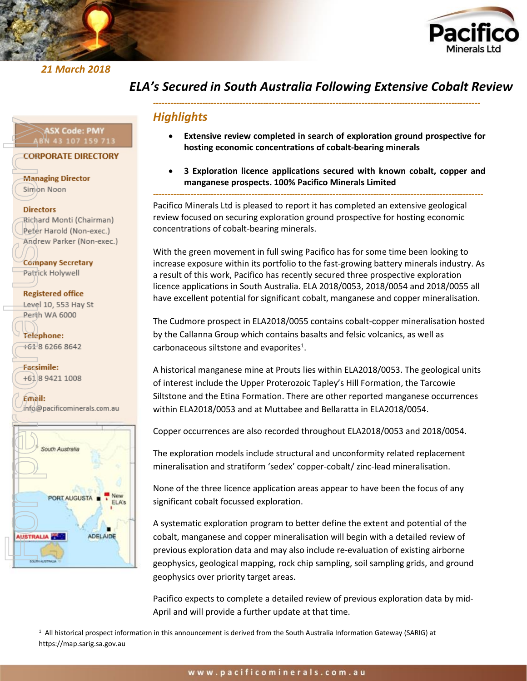

*21 March 2018* 



## *ELA's Secured in South Australia Following Extensive Cobalt Review*

*-----------------------------------------------------------------------------------------------------------------*

### *Highlights*

- **Extensive review completed in search of exploration ground prospective for hosting economic concentrations of cobalt-bearing minerals**
- **3 Exploration licence applications secured with known cobalt, copper and manganese prospects. 100% Pacifico Minerals Limited**

*------------------------------------------------------------------------------------------------------------------*

Pacifico Minerals Ltd is pleased to report it has completed an extensive geological review focused on securing exploration ground prospective for hosting economic concentrations of cobalt-bearing minerals.

With the green movement in full swing Pacifico has for some time been looking to increase exposure within its portfolio to the fast-growing battery minerals industry. As a result of this work, Pacifico has recently secured three prospective exploration licence applications in South Australia. ELA 2018/0053, 2018/0054 and 2018/0055 all have excellent potential for significant cobalt, manganese and copper mineralisation.

The Cudmore prospect in ELA2018/0055 contains cobalt-copper mineralisation hosted by the Callanna Group which contains basalts and felsic volcanics, as well as carbonaceous siltstone and evaporites<sup>1</sup>.

A historical manganese mine at Prouts lies within ELA2018/0053. The geological units of interest include the Upper Proterozoic Tapley's Hill Formation, the Tarcowie Siltstone and the Etina Formation. There are other reported manganese occurrences within ELA2018/0053 and at Muttabee and Bellaratta in ELA2018/0054.

Copper occurrences are also recorded throughout ELA2018/0053 and 2018/0054.

The exploration models include structural and unconformity related replacement mineralisation and stratiform 'sedex' copper-cobalt/ zinc-lead mineralisation.

None of the three licence application areas appear to have been the focus of any significant cobalt focussed exploration.

A systematic exploration program to better define the extent and potential of the cobalt, manganese and copper mineralisation will begin with a detailed review of previous exploration data and may also include re-evaluation of existing airborne geophysics, geological mapping, rock chip sampling, soil sampling grids, and ground geophysics over priority target areas.

Pacifico expects to complete a detailed review of previous exploration data by mid-April and will provide a further update at that time.

<sup>1</sup> All historical prospect information in this announcement is derived from the South Australia Information Gateway (SARIG) at

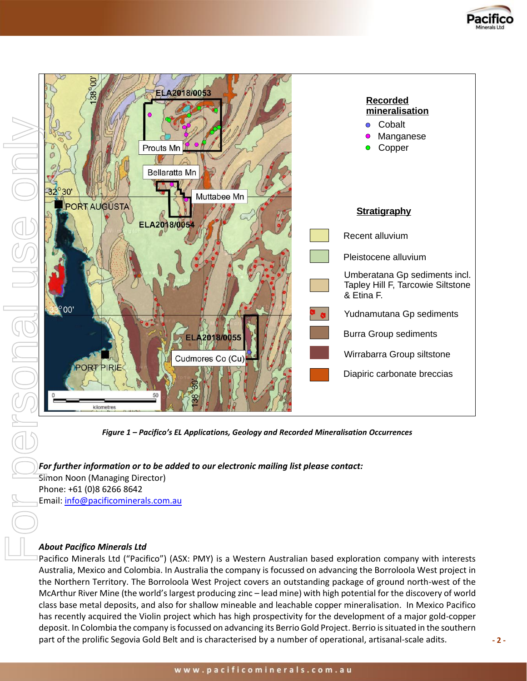



*Figure 1 – Pacifico's EL Applications, Geology and Recorded Mineralisation Occurrences*

*For further information or to be added to our electronic mailing list please contact:*  Simon Noon (Managing Director) Phone: +61 (0)8 6266 8642 Email: [info@pacificominerals.com.au](mailto:info@pacificominerals.com.au)

### *About Pacifico Minerals Ltd*

Pacifico Minerals Ltd ("Pacifico") (ASX: PMY) is a Western Australian based exploration company with interests Australia, Mexico and Colombia. In Australia the company is focussed on advancing the Borroloola West project in the Northern Territory. The Borroloola West Project covers an outstanding package of ground north-west of the McArthur River Mine (the world's largest producing zinc – lead mine) with high potential for the discovery of world class base metal deposits, and also for shallow mineable and leachable copper mineralisation. In Mexico Pacifico has recently acquired the Violin project which has high prospectivity for the development of a major gold-copper deposit. In Colombia the company is focussed on advancing its Berrio Gold Project. Berrio is situated in the southern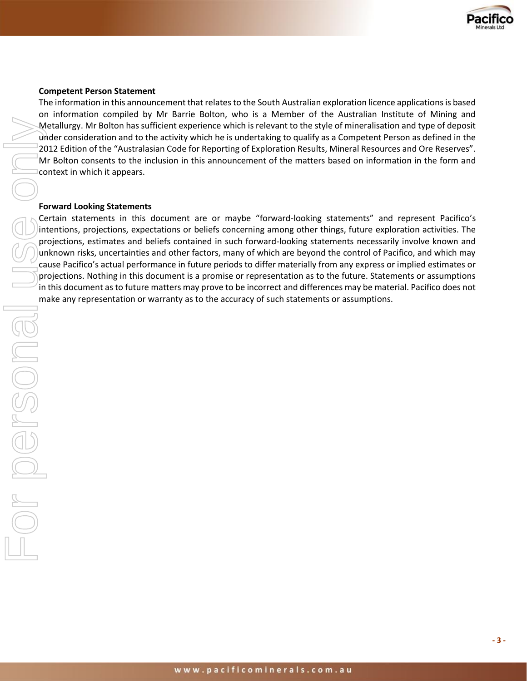

#### **Competent Person Statement**

The information in this announcement that relates to the South Australian exploration licence applications is based on information compiled by Mr Barrie Bolton, who is a Member of the Australian Institute of Mining and Metallurgy. Mr Bolton has sufficient experience which is relevant to the style of mineralisation and type of deposit under consideration and to the activity which he is undertaking to qualify as a Competent Person as defined in the 2012 Edition of the "Australasian Code for Reporting of Exploration Results, Mineral Resources and Ore Reserves". Mr Bolton consents to the inclusion in this announcement of the matters based on information in the form and context in which it appears.

#### **Forward Looking Statements**

Certain statements in this document are or maybe "forward-looking statements" and represent Pacifico's intentions, projections, expectations or beliefs concerning among other things, future exploration activities. The projections, estimates and beliefs contained in such forward-looking statements necessarily involve known and unknown risks, uncertainties and other factors, many of which are beyond the control of Pacifico, and which may cause Pacifico's actual performance in future periods to differ materially from any express or implied estimates or projections. Nothing in this document is a promise or representation as to the future. Statements or assumptions in this document as to future matters may prove to be incorrect and differences may be material. Pacifico does not metallurey. Alw Botton has sufficient experience which is released to the syte of minicalisation of the "Australisan Code for Reporting of Exploration Results, Mineral Resources 2012 Edition of the "Australisan Code for Re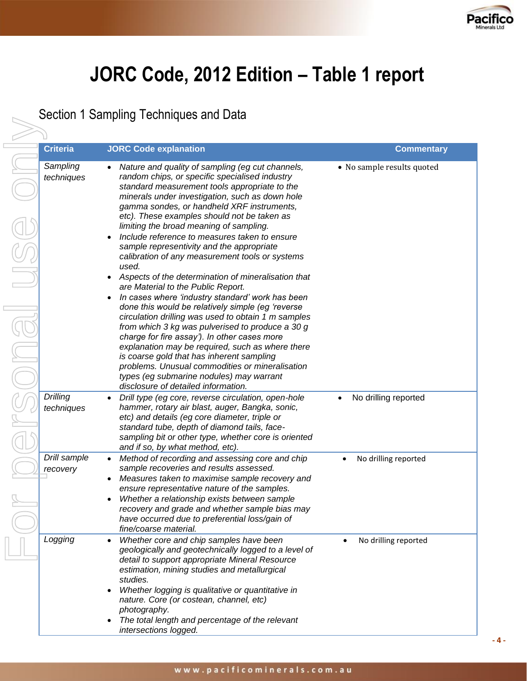

# **JORC Code, 2012 Edition – Table 1 report**

Section 1 Sampling Techniques and Data

For personal use only**Criteria JORC Code explanation Commentary**  $\frac{1}{2}$ ersonal

| Sampling<br>techniques   | Nature and quality of sampling (eg cut channels,<br>random chips, or specific specialised industry<br>standard measurement tools appropriate to the<br>minerals under investigation, such as down hole<br>gamma sondes, or handheld XRF instruments,<br>etc). These examples should not be taken as<br>limiting the broad meaning of sampling.<br>Include reference to measures taken to ensure<br>sample representivity and the appropriate<br>calibration of any measurement tools or systems<br>used.<br>Aspects of the determination of mineralisation that<br>are Material to the Public Report.<br>In cases where 'industry standard' work has been<br>done this would be relatively simple (eg 'reverse<br>circulation drilling was used to obtain 1 m samples<br>from which 3 kg was pulverised to produce a 30 g<br>charge for fire assay'). In other cases more<br>explanation may be required, such as where there<br>is coarse gold that has inherent sampling<br>problems. Unusual commodities or mineralisation<br>types (eg submarine nodules) may warrant<br>disclosure of detailed information. | • No sample results quoted        |
|--------------------------|------------------------------------------------------------------------------------------------------------------------------------------------------------------------------------------------------------------------------------------------------------------------------------------------------------------------------------------------------------------------------------------------------------------------------------------------------------------------------------------------------------------------------------------------------------------------------------------------------------------------------------------------------------------------------------------------------------------------------------------------------------------------------------------------------------------------------------------------------------------------------------------------------------------------------------------------------------------------------------------------------------------------------------------------------------------------------------------------------------------|-----------------------------------|
| Drilling<br>techniques   | Drill type (eg core, reverse circulation, open-hole<br>$\bullet$<br>hammer, rotary air blast, auger, Bangka, sonic,<br>etc) and details (eg core diameter, triple or<br>standard tube, depth of diamond tails, face-<br>sampling bit or other type, whether core is oriented<br>and if so, by what method, etc).                                                                                                                                                                                                                                                                                                                                                                                                                                                                                                                                                                                                                                                                                                                                                                                                 | No drilling reported<br>$\bullet$ |
| Drill sample<br>recovery | Method of recording and assessing core and chip<br>sample recoveries and results assessed.<br>Measures taken to maximise sample recovery and<br>ensure representative nature of the samples.<br>Whether a relationship exists between sample<br>recovery and grade and whether sample bias may<br>have occurred due to preferential loss/gain of<br>fine/coarse material.                                                                                                                                                                                                                                                                                                                                                                                                                                                                                                                                                                                                                                                                                                                                        | No drilling reported              |
| Logging                  | Whether core and chip samples have been<br>٠<br>geologically and geotechnically logged to a level of<br>detail to support appropriate Mineral Resource<br>estimation, mining studies and metallurgical<br>studies.<br>Whether logging is qualitative or quantitative in<br>$\bullet$<br>nature. Core (or costean, channel, etc)<br>photography.<br>The total length and percentage of the relevant<br>intersections logged.                                                                                                                                                                                                                                                                                                                                                                                                                                                                                                                                                                                                                                                                                      | No drilling reported<br>$\bullet$ |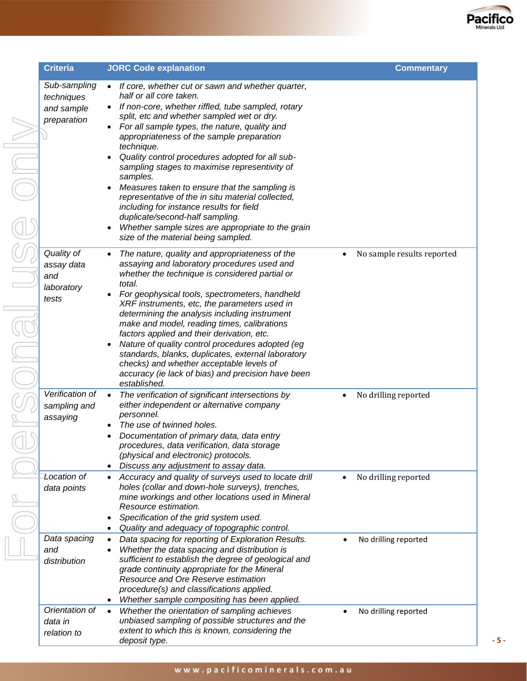

| <b>Criteria</b>                          | <b>JORC Code explanation</b>                                                                                                                               |           | <b>Commentary</b>          |
|------------------------------------------|------------------------------------------------------------------------------------------------------------------------------------------------------------|-----------|----------------------------|
| Sub-sampling<br>techniques<br>and sample | If core, whether cut or sawn and whether quarter,<br>$\bullet$<br>half or all core taken.<br>If non-core, whether riffled, tube sampled, rotary            |           |                            |
| preparation                              | split, etc and whether sampled wet or dry.<br>For all sample types, the nature, quality and<br>appropriateness of the sample preparation                   |           |                            |
|                                          | technique.<br>Quality control procedures adopted for all sub-<br>sampling stages to maximise representivity of                                             |           |                            |
|                                          | samples.<br>Measures taken to ensure that the sampling is<br>representative of the in situ material collected,<br>including for instance results for field |           |                            |
|                                          | duplicate/second-half sampling.<br>Whether sample sizes are appropriate to the grain<br>size of the material being sampled.                                |           |                            |
| Quality of<br>assay data<br>and          | The nature, quality and appropriateness of the<br>assaying and laboratory procedures used and<br>whether the technique is considered partial or<br>total.  | $\bullet$ | No sample results reported |
| laboratory<br>tests                      | For geophysical tools, spectrometers, handheld<br>XRF instruments, etc, the parameters used in<br>determining the analysis including instrument            |           |                            |
|                                          | make and model, reading times, calibrations<br>factors applied and their derivation, etc.                                                                  |           |                            |
|                                          | Nature of quality control procedures adopted (eg<br>standards, blanks, duplicates, external laboratory<br>checks) and whether acceptable levels of         |           |                            |
|                                          | accuracy (ie lack of bias) and precision have been<br>established.                                                                                         |           |                            |
| Verification of<br>sampling and          | The verification of significant intersections by<br>$\bullet$<br>either independent or alternative company<br>personnel.                                   | $\bullet$ | No drilling reported       |
| assaying                                 | The use of twinned holes.                                                                                                                                  |           |                            |
|                                          | Documentation of primary data, data entry                                                                                                                  |           |                            |
|                                          | procedures, data verification, data storage                                                                                                                |           |                            |
|                                          | (physical and electronic) protocols.<br>Discuss any adjustment to assay data.                                                                              |           |                            |
| Location of                              | Accuracy and quality of surveys used to locate drill                                                                                                       | $\bullet$ | No drilling reported       |
| data points                              | holes (collar and down-hole surveys), trenches,<br>mine workings and other locations used in Mineral<br>Resource estimation.                               |           |                            |
|                                          | Specification of the grid system used.                                                                                                                     |           |                            |
|                                          | Quality and adequacy of topographic control.                                                                                                               |           |                            |
| Data spacing                             | Data spacing for reporting of Exploration Results.<br>$\bullet$                                                                                            | $\bullet$ | No drilling reported       |
| and                                      | Whether the data spacing and distribution is                                                                                                               |           |                            |
| distribution                             | sufficient to establish the degree of geological and                                                                                                       |           |                            |
|                                          | grade continuity appropriate for the Mineral<br>Resource and Ore Reserve estimation                                                                        |           |                            |
|                                          | procedure(s) and classifications applied.                                                                                                                  |           |                            |
|                                          | Whether sample compositing has been applied.                                                                                                               |           |                            |
| Orientation of                           | Whether the orientation of sampling achieves<br>$\bullet$                                                                                                  |           | No drilling reported       |
| data in                                  | unbiased sampling of possible structures and the                                                                                                           |           |                            |
| relation to                              | extent to which this is known, considering the                                                                                                             |           |                            |

*deposit type.*

**- 5 -**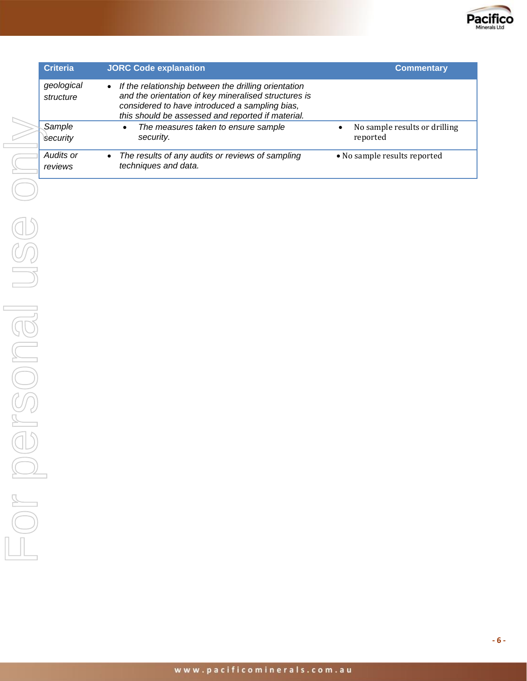

| <b>Criteria</b>         | <b>JORC Code explanation</b>                                                                                                                                                                                                     | <b>Commentary</b>                         |
|-------------------------|----------------------------------------------------------------------------------------------------------------------------------------------------------------------------------------------------------------------------------|-------------------------------------------|
| geological<br>structure | If the relationship between the drilling orientation<br>$\bullet$<br>and the orientation of key mineralised structures is<br>considered to have introduced a sampling bias,<br>this should be assessed and reported if material. |                                           |
| Sample<br>Security      | The measures taken to ensure sample<br>$\bullet$<br>security.                                                                                                                                                                    | No sample results or drilling<br>reported |
| Audits or<br>reviews    | The results of any audits or reviews of sampling<br>$\bullet$<br>techniques and data.                                                                                                                                            | • No sample results reported              |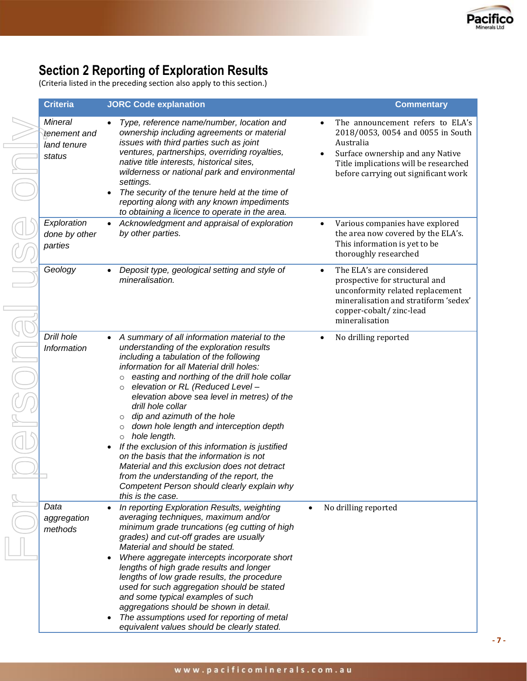

# **Section 2 Reporting of Exploration Results**

(Criteria listed in the preceding section also apply to this section.)

| <b>Criteria</b>                                         | <b>JORC Code explanation</b>                                                                                                                                                                                                                                                                                                                                                                                                                                                                                                                                                                                                                                                                                                                                              |                        | <b>Commentary</b>                                                                                                                                                                                       |
|---------------------------------------------------------|---------------------------------------------------------------------------------------------------------------------------------------------------------------------------------------------------------------------------------------------------------------------------------------------------------------------------------------------------------------------------------------------------------------------------------------------------------------------------------------------------------------------------------------------------------------------------------------------------------------------------------------------------------------------------------------------------------------------------------------------------------------------------|------------------------|---------------------------------------------------------------------------------------------------------------------------------------------------------------------------------------------------------|
| <b>Mineral</b><br>tenement and<br>land tenure<br>status | Type, reference name/number, location and<br>ownership including agreements or material<br>issues with third parties such as joint<br>ventures, partnerships, overriding royalties,<br>native title interests, historical sites,<br>wilderness or national park and environmental<br>settings.<br>The security of the tenure held at the time of<br>reporting along with any known impediments<br>to obtaining a licence to operate in the area.                                                                                                                                                                                                                                                                                                                          | $\bullet$<br>$\bullet$ | The announcement refers to ELA's<br>2018/0053, 0054 and 0055 in South<br>Australia<br>Surface ownership and any Native<br>Title implications will be researched<br>before carrying out significant work |
| Exploration<br>done by other<br>parties                 | Acknowledgment and appraisal of exploration<br>by other parties.                                                                                                                                                                                                                                                                                                                                                                                                                                                                                                                                                                                                                                                                                                          | $\bullet$              | Various companies have explored<br>the area now covered by the ELA's.<br>This information is yet to be<br>thoroughly researched                                                                         |
| Geology                                                 | Deposit type, geological setting and style of<br>$\bullet$<br>mineralisation.                                                                                                                                                                                                                                                                                                                                                                                                                                                                                                                                                                                                                                                                                             | $\bullet$              | The ELA's are considered<br>prospective for structural and<br>unconformity related replacement<br>mineralisation and stratiform 'sedex'<br>copper-cobalt/zinc-lead<br>mineralisation                    |
| Drill hole<br>Information                               | A summary of all information material to the<br>$\bullet$<br>understanding of the exploration results<br>including a tabulation of the following<br>information for all Material drill holes:<br>easting and northing of the drill hole collar<br>$\circ$<br>elevation or RL (Reduced Level -<br>$\circ$<br>elevation above sea level in metres) of the<br>drill hole collar<br>dip and azimuth of the hole<br>$\circ$<br>down hole length and interception depth<br>$\circ$<br>hole length.<br>$\circ$<br>If the exclusion of this information is justified<br>on the basis that the information is not<br>Material and this exclusion does not detract<br>from the understanding of the report, the<br>Competent Person should clearly explain why<br>this is the case. | $\bullet$              | No drilling reported                                                                                                                                                                                    |
| Data<br>aggregation<br>methods                          | In reporting Exploration Results, weighting<br>$\bullet$<br>averaging techniques, maximum and/or<br>minimum grade truncations (eg cutting of high<br>grades) and cut-off grades are usually<br>Material and should be stated.<br>Where aggregate intercepts incorporate short<br>lengths of high grade results and longer<br>lengths of low grade results, the procedure<br>used for such aggregation should be stated<br>and some typical examples of such<br>aggregations should be shown in detail.<br>The assumptions used for reporting of metal<br>equivalent values should be clearly stated.                                                                                                                                                                      | $\bullet$              | No drilling reported                                                                                                                                                                                    |

**- 7 -**